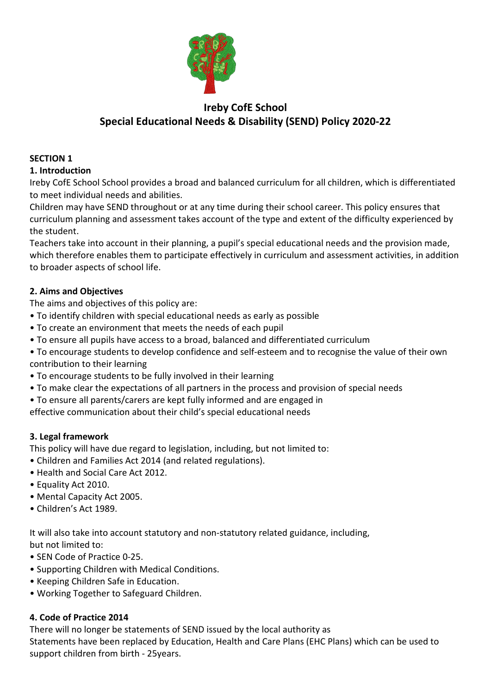

# **Ireby CofE School Special Educational Needs & Disability (SEND) Policy 2020-22**

# **SECTION 1**

#### **1. Introduction**

Ireby CofE School School provides a broad and balanced curriculum for all children, which is differentiated to meet individual needs and abilities.

Children may have SEND throughout or at any time during their school career. This policy ensures that curriculum planning and assessment takes account of the type and extent of the difficulty experienced by the student.

Teachers take into account in their planning, a pupil's special educational needs and the provision made, which therefore enables them to participate effectively in curriculum and assessment activities, in addition to broader aspects of school life.

## **2. Aims and Objectives**

The aims and objectives of this policy are:

- To identify children with special educational needs as early as possible
- To create an environment that meets the needs of each pupil
- To ensure all pupils have access to a broad, balanced and differentiated curriculum
- To encourage students to develop confidence and self-esteem and to recognise the value of their own contribution to their learning
- To encourage students to be fully involved in their learning
- To make clear the expectations of all partners in the process and provision of special needs
- To ensure all parents/carers are kept fully informed and are engaged in
- effective communication about their child's special educational needs

## **3. Legal framework**

This policy will have due regard to legislation, including, but not limited to:

- Children and Families Act 2014 (and related regulations).
- Health and Social Care Act 2012.
- Equality Act 2010.
- Mental Capacity Act 2005.
- Children's Act 1989.

It will also take into account statutory and non-statutory related guidance, including, but not limited to:

- SEN Code of Practice 0-25.
- Supporting Children with Medical Conditions.
- Keeping Children Safe in Education.
- Working Together to Safeguard Children.

#### **4. Code of Practice 2014**

There will no longer be statements of SEND issued by the local authority as Statements have been replaced by Education, Health and Care Plans (EHC Plans) which can be used to support children from birth - 25years.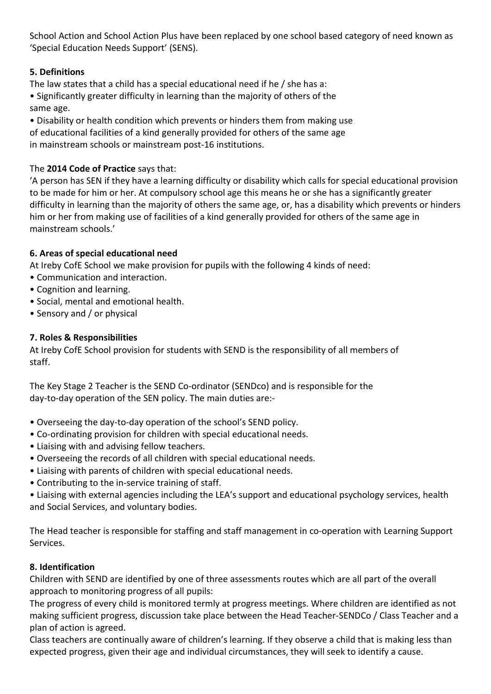School Action and School Action Plus have been replaced by one school based category of need known as 'Special Education Needs Support' (SENS).

## **5. Definitions**

The law states that a child has a special educational need if he / she has a:

• Significantly greater difficulty in learning than the majority of others of the same age.

• Disability or health condition which prevents or hinders them from making use of educational facilities of a kind generally provided for others of the same age in mainstream schools or mainstream post-16 institutions.

## The **2014 Code of Practice** says that:

'A person has SEN if they have a learning difficulty or disability which calls for special educational provision to be made for him or her. At compulsory school age this means he or she has a significantly greater difficulty in learning than the majority of others the same age, or, has a disability which prevents or hinders him or her from making use of facilities of a kind generally provided for others of the same age in mainstream schools.'

## **6. Areas of special educational need**

At Ireby CofE School we make provision for pupils with the following 4 kinds of need:

- Communication and interaction.
- Cognition and learning.
- Social, mental and emotional health.
- Sensory and / or physical

## **7. Roles & Responsibilities**

At Ireby CofE School provision for students with SEND is the responsibility of all members of staff.

The Key Stage 2 Teacher is the SEND Co-ordinator (SENDco) and is responsible for the day-to-day operation of the SEN policy. The main duties are:-

- Overseeing the day-to-day operation of the school's SEND policy.
- Co-ordinating provision for children with special educational needs.
- Liaising with and advising fellow teachers.
- Overseeing the records of all children with special educational needs.
- Liaising with parents of children with special educational needs.
- Contributing to the in-service training of staff.

• Liaising with external agencies including the LEA's support and educational psychology services, health and Social Services, and voluntary bodies.

The Head teacher is responsible for staffing and staff management in co-operation with Learning Support Services.

## **8. Identification**

Children with SEND are identified by one of three assessments routes which are all part of the overall approach to monitoring progress of all pupils:

The progress of every child is monitored termly at progress meetings. Where children are identified as not making sufficient progress, discussion take place between the Head Teacher-SENDCo / Class Teacher and a plan of action is agreed.

Class teachers are continually aware of children's learning. If they observe a child that is making less than expected progress, given their age and individual circumstances, they will seek to identify a cause.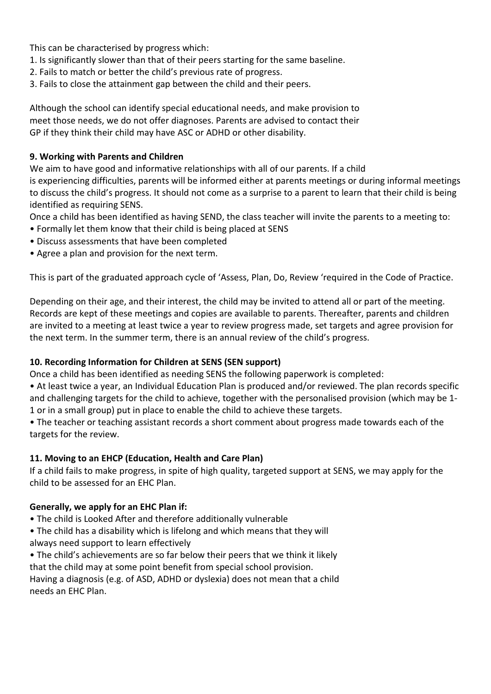This can be characterised by progress which:

- 1. Is significantly slower than that of their peers starting for the same baseline.
- 2. Fails to match or better the child's previous rate of progress.
- 3. Fails to close the attainment gap between the child and their peers.

Although the school can identify special educational needs, and make provision to meet those needs, we do not offer diagnoses. Parents are advised to contact their GP if they think their child may have ASC or ADHD or other disability.

#### **9. Working with Parents and Children**

We aim to have good and informative relationships with all of our parents. If a child is experiencing difficulties, parents will be informed either at parents meetings or during informal meetings to discuss the child's progress. It should not come as a surprise to a parent to learn that their child is being identified as requiring SENS.

Once a child has been identified as having SEND, the class teacher will invite the parents to a meeting to:

- Formally let them know that their child is being placed at SENS
- Discuss assessments that have been completed
- Agree a plan and provision for the next term.

This is part of the graduated approach cycle of 'Assess, Plan, Do, Review 'required in the Code of Practice.

Depending on their age, and their interest, the child may be invited to attend all or part of the meeting. Records are kept of these meetings and copies are available to parents. Thereafter, parents and children are invited to a meeting at least twice a year to review progress made, set targets and agree provision for the next term. In the summer term, there is an annual review of the child's progress.

## **10. Recording Information for Children at SENS (SEN support)**

Once a child has been identified as needing SENS the following paperwork is completed:

• At least twice a year, an Individual Education Plan is produced and/or reviewed. The plan records specific and challenging targets for the child to achieve, together with the personalised provision (which may be 1- 1 or in a small group) put in place to enable the child to achieve these targets.

• The teacher or teaching assistant records a short comment about progress made towards each of the targets for the review.

## **11. Moving to an EHCP (Education, Health and Care Plan)**

If a child fails to make progress, in spite of high quality, targeted support at SENS, we may apply for the child to be assessed for an EHC Plan.

## **Generally, we apply for an EHC Plan if:**

- The child is Looked After and therefore additionally vulnerable
- The child has a disability which is lifelong and which means that they will always need support to learn effectively
- The child's achievements are so far below their peers that we think it likely that the child may at some point benefit from special school provision.

Having a diagnosis (e.g. of ASD, ADHD or dyslexia) does not mean that a child needs an EHC Plan.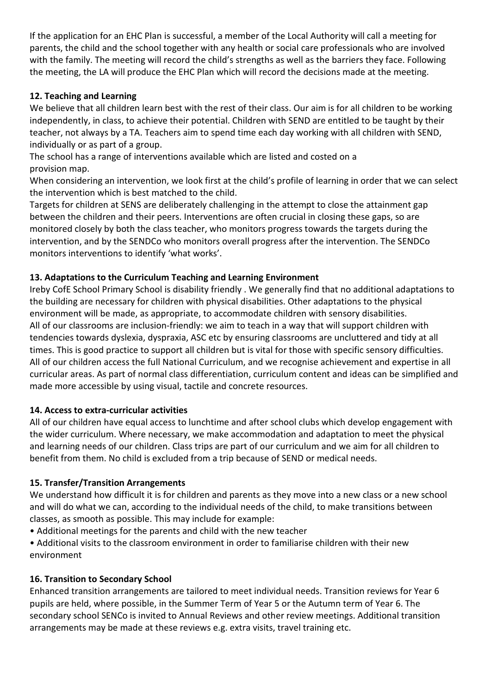If the application for an EHC Plan is successful, a member of the Local Authority will call a meeting for parents, the child and the school together with any health or social care professionals who are involved with the family. The meeting will record the child's strengths as well as the barriers they face. Following the meeting, the LA will produce the EHC Plan which will record the decisions made at the meeting.

## **12. Teaching and Learning**

We believe that all children learn best with the rest of their class. Our aim is for all children to be working independently, in class, to achieve their potential. Children with SEND are entitled to be taught by their teacher, not always by a TA. Teachers aim to spend time each day working with all children with SEND, individually or as part of a group.

The school has a range of interventions available which are listed and costed on a provision map.

When considering an intervention, we look first at the child's profile of learning in order that we can select the intervention which is best matched to the child.

Targets for children at SENS are deliberately challenging in the attempt to close the attainment gap between the children and their peers. Interventions are often crucial in closing these gaps, so are monitored closely by both the class teacher, who monitors progress towards the targets during the intervention, and by the SENDCo who monitors overall progress after the intervention. The SENDCo monitors interventions to identify 'what works'.

## **13. Adaptations to the Curriculum Teaching and Learning Environment**

Ireby CofE School Primary School is disability friendly . We generally find that no additional adaptations to the building are necessary for children with physical disabilities. Other adaptations to the physical environment will be made, as appropriate, to accommodate children with sensory disabilities. All of our classrooms are inclusion-friendly: we aim to teach in a way that will support children with tendencies towards dyslexia, dyspraxia, ASC etc by ensuring classrooms are uncluttered and tidy at all times. This is good practice to support all children but is vital for those with specific sensory difficulties. All of our children access the full National Curriculum, and we recognise achievement and expertise in all curricular areas. As part of normal class differentiation, curriculum content and ideas can be simplified and made more accessible by using visual, tactile and concrete resources.

## **14. Access to extra-curricular activities**

All of our children have equal access to lunchtime and after school clubs which develop engagement with the wider curriculum. Where necessary, we make accommodation and adaptation to meet the physical and learning needs of our children. Class trips are part of our curriculum and we aim for all children to benefit from them. No child is excluded from a trip because of SEND or medical needs.

## **15. Transfer/Transition Arrangements**

We understand how difficult it is for children and parents as they move into a new class or a new school and will do what we can, according to the individual needs of the child, to make transitions between classes, as smooth as possible. This may include for example:

• Additional meetings for the parents and child with the new teacher

• Additional visits to the classroom environment in order to familiarise children with their new environment

## **16. Transition to Secondary School**

Enhanced transition arrangements are tailored to meet individual needs. Transition reviews for Year 6 pupils are held, where possible, in the Summer Term of Year 5 or the Autumn term of Year 6. The secondary school SENCo is invited to Annual Reviews and other review meetings. Additional transition arrangements may be made at these reviews e.g. extra visits, travel training etc.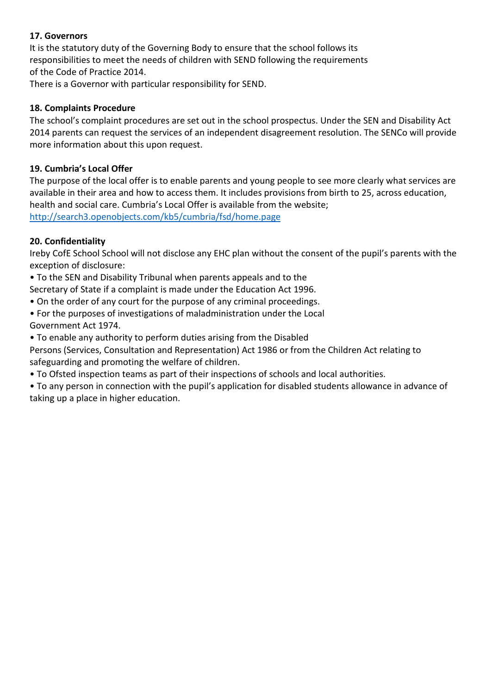#### **17. Governors**

It is the statutory duty of the Governing Body to ensure that the school follows its responsibilities to meet the needs of children with SEND following the requirements of the Code of Practice 2014.

There is a Governor with particular responsibility for SEND.

#### **18. Complaints Procedure**

The school's complaint procedures are set out in the school prospectus. Under the SEN and Disability Act 2014 parents can request the services of an independent disagreement resolution. The SENCo will provide more information about this upon request.

#### **19. Cumbria's Local Offer**

The purpose of the local offer is to enable parents and young people to see more clearly what services are available in their area and how to access them. It includes provisions from birth to 25, across education, health and social care. Cumbria's Local Offer is available from the website; <http://search3.openobjects.com/kb5/cumbria/fsd/home.page>

#### **20. Confidentiality**

Ireby CofE School School will not disclose any EHC plan without the consent of the pupil's parents with the exception of disclosure:

• To the SEN and Disability Tribunal when parents appeals and to the

Secretary of State if a complaint is made under the Education Act 1996.

- On the order of any court for the purpose of any criminal proceedings.
- For the purposes of investigations of maladministration under the Local Government Act 1974.
- To enable any authority to perform duties arising from the Disabled

Persons (Services, Consultation and Representation) Act 1986 or from the Children Act relating to safeguarding and promoting the welfare of children.

• To Ofsted inspection teams as part of their inspections of schools and local authorities.

• To any person in connection with the pupil's application for disabled students allowance in advance of taking up a place in higher education.